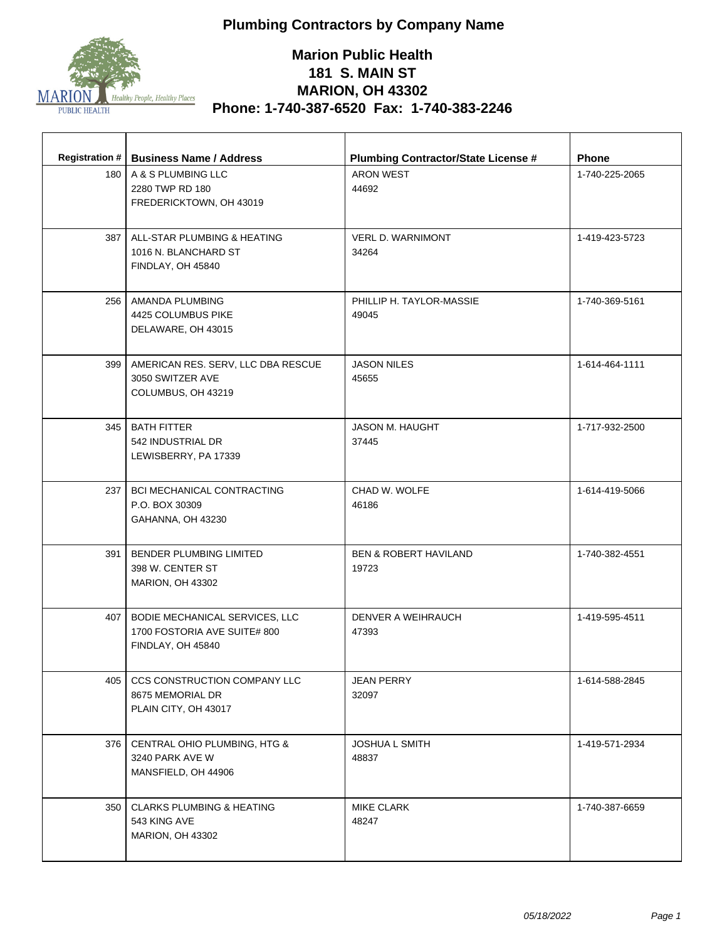

| 180 <sub>1</sub> | Registration #   Business Name / Address<br>A & S PLUMBING LLC | <b>Plumbing Contractor/State License #</b><br><b>ARON WEST</b> | <b>Phone</b><br>1-740-225-2065 |
|------------------|----------------------------------------------------------------|----------------------------------------------------------------|--------------------------------|
|                  | 2280 TWP RD 180                                                | 44692                                                          |                                |
|                  | FREDERICKTOWN, OH 43019                                        |                                                                |                                |
|                  |                                                                |                                                                |                                |
|                  | 387   ALL-STAR PLUMBING & HEATING                              | <b>VERL D. WARNIMONT</b>                                       | 1-419-423-5723                 |
|                  | 1016 N. BLANCHARD ST                                           | 34264                                                          |                                |
|                  | FINDLAY, OH 45840                                              |                                                                |                                |
|                  | 256   AMANDA PLUMBING                                          | PHILLIP H. TAYLOR-MASSIE                                       | 1-740-369-5161                 |
|                  | 4425 COLUMBUS PIKE                                             | 49045                                                          |                                |
|                  | DELAWARE, OH 43015                                             |                                                                |                                |
| 399              | AMERICAN RES. SERV, LLC DBA RESCUE                             | <b>JASON NILES</b>                                             | 1-614-464-1111                 |
|                  | 3050 SWITZER AVE                                               | 45655                                                          |                                |
|                  | COLUMBUS, OH 43219                                             |                                                                |                                |
| 345              | <b>BATH FITTER</b>                                             | JASON M. HAUGHT                                                | 1-717-932-2500                 |
|                  | 542 INDUSTRIAL DR                                              | 37445                                                          |                                |
|                  | LEWISBERRY, PA 17339                                           |                                                                |                                |
|                  |                                                                |                                                                |                                |
|                  | 237   BCI MECHANICAL CONTRACTING<br>P.O. BOX 30309             | CHAD W. WOLFE<br>46186                                         | 1-614-419-5066                 |
|                  | GAHANNA, OH 43230                                              |                                                                |                                |
|                  |                                                                |                                                                |                                |
| 391              | BENDER PLUMBING LIMITED                                        | <b>BEN &amp; ROBERT HAVILAND</b>                               | 1-740-382-4551                 |
|                  | 398 W. CENTER ST<br><b>MARION, OH 43302</b>                    | 19723                                                          |                                |
|                  |                                                                |                                                                |                                |
| 407              | BODIE MECHANICAL SERVICES, LLC                                 | DENVER A WEIHRAUCH                                             | 1-419-595-4511                 |
|                  | 1700 FOSTORIA AVE SUITE# 800                                   | 47393                                                          |                                |
|                  | FINDLAY, OH 45840                                              |                                                                |                                |
| 405              | CCS CONSTRUCTION COMPANY LLC                                   | <b>JEAN PERRY</b>                                              | 1-614-588-2845                 |
|                  | 8675 MEMORIAL DR                                               | 32097                                                          |                                |
|                  | PLAIN CITY, OH 43017                                           |                                                                |                                |
| 376              | CENTRAL OHIO PLUMBING, HTG &                                   | JOSHUA L SMITH                                                 | 1-419-571-2934                 |
|                  | 3240 PARK AVE W                                                | 48837                                                          |                                |
|                  | MANSFIELD, OH 44906                                            |                                                                |                                |
|                  | <b>CLARKS PLUMBING &amp; HEATING</b>                           | <b>MIKE CLARK</b>                                              |                                |
| 350              | 543 KING AVE                                                   | 48247                                                          | 1-740-387-6659                 |
|                  | <b>MARION, OH 43302</b>                                        |                                                                |                                |
|                  |                                                                |                                                                |                                |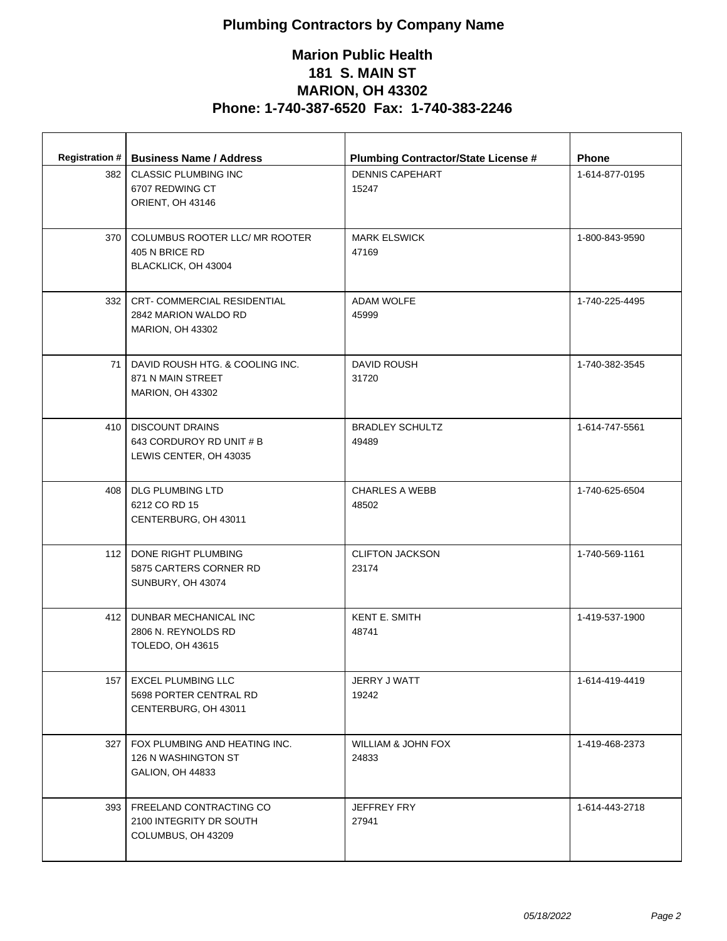| <b>Registration #</b> | <b>Business Name / Address</b>                                                  | <b>Plumbing Contractor/State License #</b> | <b>Phone</b>   |
|-----------------------|---------------------------------------------------------------------------------|--------------------------------------------|----------------|
| 382                   | <b>CLASSIC PLUMBING INC</b><br>6707 REDWING CT<br>ORIENT, OH 43146              | <b>DENNIS CAPEHART</b><br>15247            | 1-614-877-0195 |
| 370                   | COLUMBUS ROOTER LLC/ MR ROOTER<br>405 N BRICE RD<br>BLACKLICK, OH 43004         | <b>MARK ELSWICK</b><br>47169               | 1-800-843-9590 |
| 332                   | CRT- COMMERCIAL RESIDENTIAL<br>2842 MARION WALDO RD<br><b>MARION, OH 43302</b>  | <b>ADAM WOLFE</b><br>45999                 | 1-740-225-4495 |
| 71 I                  | DAVID ROUSH HTG, & COOLING INC.<br>871 N MAIN STREET<br><b>MARION, OH 43302</b> | DAVID ROUSH<br>31720                       | 1-740-382-3545 |
| 410 l                 | <b>DISCOUNT DRAINS</b><br>643 CORDUROY RD UNIT # B<br>LEWIS CENTER, OH 43035    | <b>BRADLEY SCHULTZ</b><br>49489            | 1-614-747-5561 |
|                       | 408   DLG PLUMBING LTD<br>6212 CO RD 15<br>CENTERBURG, OH 43011                 | <b>CHARLES A WEBB</b><br>48502             | 1-740-625-6504 |
| 112                   | DONE RIGHT PLUMBING<br>5875 CARTERS CORNER RD<br>SUNBURY, OH 43074              | <b>CLIFTON JACKSON</b><br>23174            | 1-740-569-1161 |
| 412                   | DUNBAR MECHANICAL INC<br>2806 N. REYNOLDS RD<br><b>TOLEDO, OH 43615</b>         | <b>KENT E. SMITH</b><br>48741              | 1-419-537-1900 |
| 157                   | <b>EXCEL PLUMBING LLC</b><br>5698 PORTER CENTRAL RD<br>CENTERBURG, OH 43011     | JERRY J WATT<br>19242                      | 1-614-419-4419 |
| 327                   | FOX PLUMBING AND HEATING INC.<br>126 N WASHINGTON ST<br>GALION, OH 44833        | WILLIAM & JOHN FOX<br>24833                | 1-419-468-2373 |
| 393                   | FREELAND CONTRACTING CO<br>2100 INTEGRITY DR SOUTH<br>COLUMBUS, OH 43209        | <b>JEFFREY FRY</b><br>27941                | 1-614-443-2718 |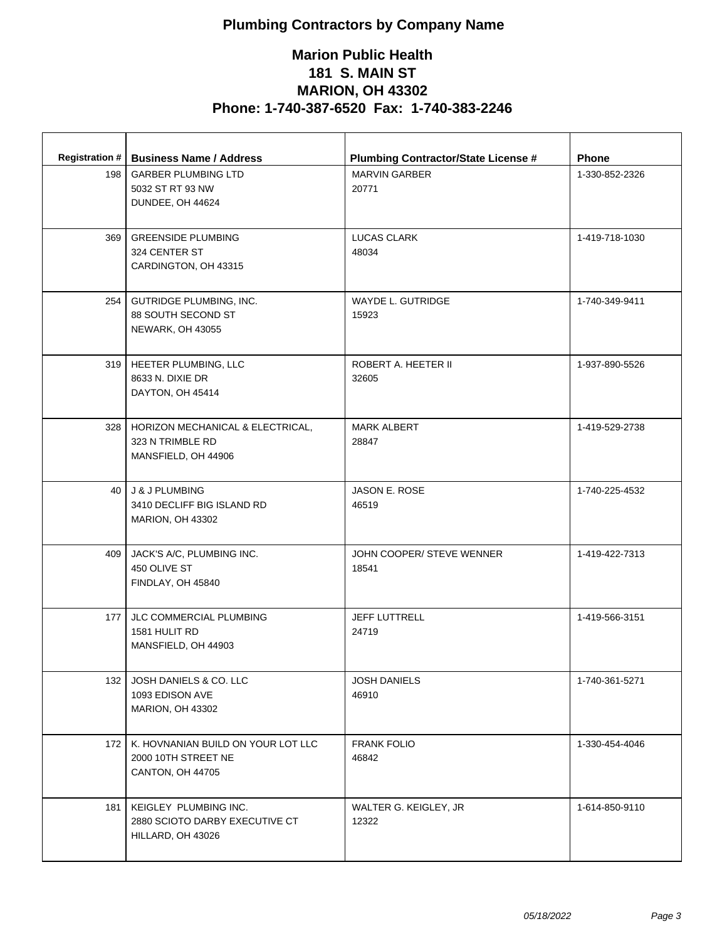| <b>Registration #</b><br>198 | <b>Business Name / Address</b><br><b>GARBER PLUMBING LTD</b><br>5032 ST RT 93 NW<br>DUNDEE, OH 44624 | <b>Plumbing Contractor/State License #</b><br><b>MARVIN GARBER</b><br>20771 | <b>Phone</b><br>1-330-852-2326 |
|------------------------------|------------------------------------------------------------------------------------------------------|-----------------------------------------------------------------------------|--------------------------------|
| 369                          | <b>GREENSIDE PLUMBING</b><br>324 CENTER ST<br>CARDINGTON, OH 43315                                   | LUCAS CLARK<br>48034                                                        | 1-419-718-1030                 |
| 254                          | GUTRIDGE PLUMBING, INC.<br>88 SOUTH SECOND ST<br>NEWARK, OH 43055                                    | WAYDE L. GUTRIDGE<br>15923                                                  | 1-740-349-9411                 |
|                              | 319   HEETER PLUMBING, LLC<br>8633 N. DIXIE DR<br>DAYTON, OH 45414                                   | ROBERT A. HEETER II<br>32605                                                | 1-937-890-5526                 |
| 328                          | HORIZON MECHANICAL & ELECTRICAL,<br>323 N TRIMBLE RD<br>MANSFIELD, OH 44906                          | MARK ALBERT<br>28847                                                        | 1-419-529-2738                 |
|                              | 40 J & J PLUMBING<br>3410 DECLIFF BIG ISLAND RD<br><b>MARION, OH 43302</b>                           | <b>JASON E. ROSE</b><br>46519                                               | 1-740-225-4532                 |
| 409                          | JACK'S A/C, PLUMBING INC.<br>450 OLIVE ST<br>FINDLAY, OH 45840                                       | JOHN COOPER/ STEVE WENNER<br>18541                                          | 1-419-422-7313                 |
| 177                          | JLC COMMERCIAL PLUMBING<br>1581 HULIT RD<br>MANSFIELD, OH 44903                                      | <b>JEFF LUTTRELL</b><br>24719                                               | 1-419-566-3151                 |
| 132                          | JOSH DANIELS & CO. LLC<br>1093 EDISON AVE<br><b>MARION, OH 43302</b>                                 | <b>JOSH DANIELS</b><br>46910                                                | 1-740-361-5271                 |
| 172 <sub>1</sub>             | K. HOVNANIAN BUILD ON YOUR LOT LLC<br>2000 10TH STREET NE<br>CANTON, OH 44705                        | <b>FRANK FOLIO</b><br>46842                                                 | 1-330-454-4046                 |
| 181                          | KEIGLEY PLUMBING INC.<br>2880 SCIOTO DARBY EXECUTIVE CT<br>HILLARD, OH 43026                         | WALTER G. KEIGLEY, JR<br>12322                                              | 1-614-850-9110                 |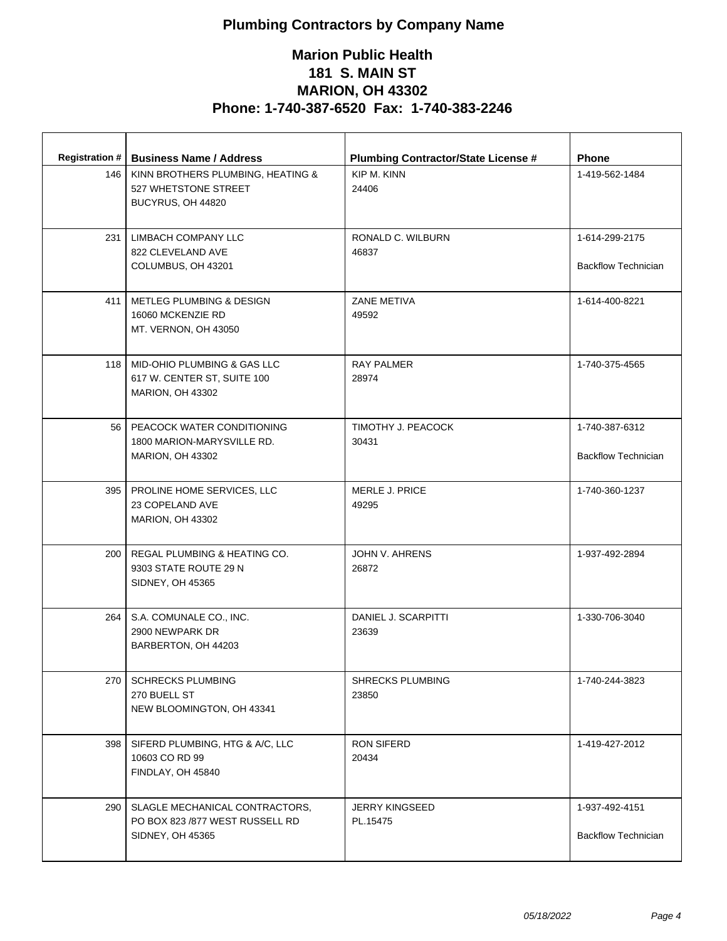| 146             | Registration #   Business Name / Address                  | <b>Plumbing Contractor/State License #</b><br>KIP M. KINN | <b>Phone</b><br>1-419-562-1484 |
|-----------------|-----------------------------------------------------------|-----------------------------------------------------------|--------------------------------|
|                 | KINN BROTHERS PLUMBING, HEATING &<br>527 WHETSTONE STREET | 24406                                                     |                                |
|                 | BUCYRUS, OH 44820                                         |                                                           |                                |
|                 |                                                           |                                                           |                                |
| 231             | LIMBACH COMPANY LLC                                       | RONALD C. WILBURN                                         | 1-614-299-2175                 |
|                 | 822 CLEVELAND AVE                                         | 46837                                                     |                                |
|                 | COLUMBUS, OH 43201                                        |                                                           | <b>Backflow Technician</b>     |
| 411             | METLEG PLUMBING & DESIGN                                  | ZANE METIVA                                               | 1-614-400-8221                 |
|                 | 16060 MCKENZIE RD                                         | 49592                                                     |                                |
|                 | MT. VERNON, OH 43050                                      |                                                           |                                |
|                 | 118 MID-OHIO PLUMBING & GAS LLC                           | <b>RAY PALMER</b>                                         | 1-740-375-4565                 |
|                 | 617 W. CENTER ST, SUITE 100                               | 28974                                                     |                                |
|                 | <b>MARION, OH 43302</b>                                   |                                                           |                                |
| 56 <sup>1</sup> | PEACOCK WATER CONDITIONING                                | TIMOTHY J. PEACOCK                                        | 1-740-387-6312                 |
|                 | 1800 MARION-MARYSVILLE RD.                                | 30431                                                     |                                |
|                 | MARION, OH 43302                                          |                                                           | <b>Backflow Technician</b>     |
|                 | 395   PROLINE HOME SERVICES, LLC                          | MERLE J. PRICE                                            | 1-740-360-1237                 |
|                 | 23 COPELAND AVE                                           | 49295                                                     |                                |
|                 | MARION, OH 43302                                          |                                                           |                                |
| 200 l           | REGAL PLUMBING & HEATING CO.                              | JOHN V. AHRENS                                            | 1-937-492-2894                 |
|                 | 9303 STATE ROUTE 29 N                                     | 26872                                                     |                                |
|                 | SIDNEY, OH 45365                                          |                                                           |                                |
|                 |                                                           |                                                           | 1-330-706-3040                 |
| 264             | S.A. COMUNALE CO., INC.<br>2900 NEWPARK DR                | DANIEL J. SCARPITTI<br>23639                              |                                |
|                 | BARBERTON, OH 44203                                       |                                                           |                                |
|                 |                                                           |                                                           |                                |
| 270             | <b>SCHRECKS PLUMBING</b>                                  | <b>SHRECKS PLUMBING</b>                                   | 1-740-244-3823                 |
|                 | 270 BUELL ST                                              | 23850                                                     |                                |
|                 | NEW BLOOMINGTON, OH 43341                                 |                                                           |                                |
| 398             | SIFERD PLUMBING, HTG & A/C, LLC                           | RON SIFERD                                                | 1-419-427-2012                 |
|                 | 10603 CO RD 99                                            | 20434                                                     |                                |
|                 | FINDLAY, OH 45840                                         |                                                           |                                |
| 290             | SLAGLE MECHANICAL CONTRACTORS.                            | <b>JERRY KINGSEED</b>                                     | 1-937-492-4151                 |
|                 | PO BOX 823/877 WEST RUSSELL RD                            | PL.15475                                                  |                                |
|                 | SIDNEY, OH 45365                                          |                                                           | <b>Backflow Technician</b>     |
|                 |                                                           |                                                           |                                |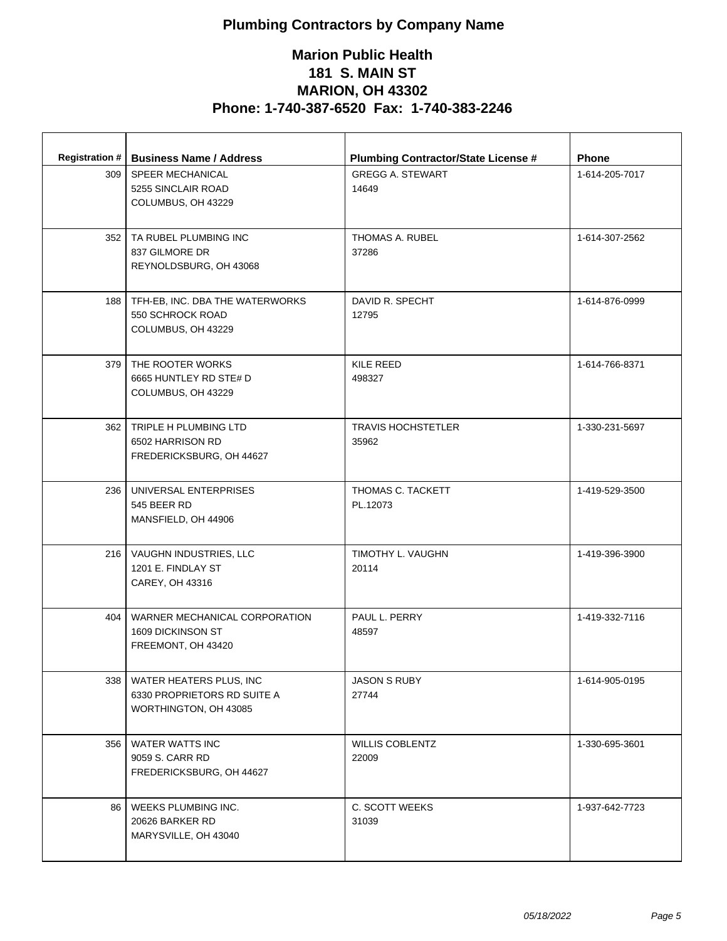| <b>Registration #</b><br>309 | <b>Business Name / Address</b><br><b>SPEER MECHANICAL</b><br>5255 SINCLAIR ROAD<br>COLUMBUS, OH 43229 | <b>Plumbing Contractor/State License #</b><br><b>GREGG A. STEWART</b><br>14649 | <b>Phone</b><br>1-614-205-7017 |
|------------------------------|-------------------------------------------------------------------------------------------------------|--------------------------------------------------------------------------------|--------------------------------|
|                              | 352   TA RUBEL PLUMBING INC<br>837 GILMORE DR<br>REYNOLDSBURG, OH 43068                               | THOMAS A. RUBEL<br>37286                                                       | 1-614-307-2562                 |
|                              | 188   TFH-EB, INC. DBA THE WATERWORKS<br>550 SCHROCK ROAD<br>COLUMBUS, OH 43229                       | DAVID R. SPECHT<br>12795                                                       | 1-614-876-0999                 |
|                              | 379 THE ROOTER WORKS<br>6665 HUNTLEY RD STE# D<br>COLUMBUS, OH 43229                                  | KILE REED<br>498327                                                            | 1-614-766-8371                 |
|                              | 362   TRIPLE H PLUMBING LTD<br>6502 HARRISON RD<br>FREDERICKSBURG, OH 44627                           | <b>TRAVIS HOCHSTETLER</b><br>35962                                             | 1-330-231-5697                 |
|                              | 236   UNIVERSAL ENTERPRISES<br>545 BEER RD<br>MANSFIELD, OH 44906                                     | THOMAS C. TACKETT<br>PL.12073                                                  | 1-419-529-3500                 |
|                              | 216   VAUGHN INDUSTRIES, LLC<br>1201 E. FINDLAY ST<br>CAREY, OH 43316                                 | TIMOTHY L. VAUGHN<br>20114                                                     | 1-419-396-3900                 |
| 404 l                        | WARNER MECHANICAL CORPORATION<br>1609 DICKINSON ST<br>FREEMONT, OH 43420                              | PAUL L. PERRY<br>48597                                                         | 1-419-332-7116                 |
| 338                          | WATER HEATERS PLUS, INC<br>6330 PROPRIETORS RD SUITE A<br>WORTHINGTON, OH 43085                       | <b>JASON S RUBY</b><br>27744                                                   | 1-614-905-0195                 |
| 356                          | <b>WATER WATTS INC</b><br>9059 S. CARR RD<br>FREDERICKSBURG, OH 44627                                 | <b>WILLIS COBLENTZ</b><br>22009                                                | 1-330-695-3601                 |
| 86                           | WEEKS PLUMBING INC.<br>20626 BARKER RD<br>MARYSVILLE, OH 43040                                        | C. SCOTT WEEKS<br>31039                                                        | 1-937-642-7723                 |